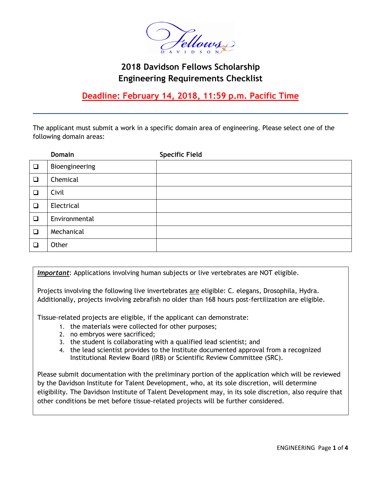

# **2018 Davidson Fellows Scholarship Engineering Requirements Checklist**

**Deadline: February 14, 2018, 11:59 p.m. Pacific Time**

The applicant must submit a work in a specific domain area of engineering. Please select one of the following domain areas:

|        | <b>Domain</b>  | <b>Specific Field</b> |
|--------|----------------|-----------------------|
| $\Box$ | Bioengineering |                       |
| $\Box$ | Chemical       |                       |
| ❏      | Civil          |                       |
| $\Box$ | Electrical     |                       |
| $\Box$ | Environmental  |                       |
| $\Box$ | Mechanical     |                       |
| ❏      | Other          |                       |

*Important*: Applications involving human subjects or live vertebrates are NOT eligible.

Projects involving the following live invertebrates are eligible: C. elegans, Drosophila, Hydra. Additionally, projects involving zebrafish no older than 168 hours post-fertilization are eligible.

Tissue-related projects are eligible, if the applicant can demonstrate:

- 1. the materials were collected for other purposes;
- 2. no embryos were sacrificed;
- 3. the student is collaborating with a qualified lead scientist; and
- 4. the lead scientist provides to the Institute documented approval from a recognized Institutional Review Board (IRB) or Scientific Review Committee (SRC).

Please submit documentation with the preliminary portion of the application which will be reviewed by the Davidson Institute for Talent Development, who, at its sole discretion, will determine eligibility. The Davidson Institute of Talent Development may, in its sole discretion, also require that other conditions be met before tissue-related projects will be further considered.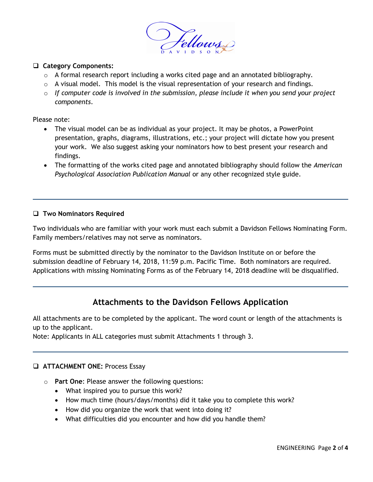

### **Category Components:**

- $\circ$  A formal research report including a works cited page and an annotated bibliography.
- $\circ$  A visual model. This model is the visual representation of your research and findings.
- o *If computer code is involved in the submission, please include it when you send your project components*.

Please note:

- The visual model can be as individual as your project. It may be photos, a PowerPoint presentation, graphs, diagrams, illustrations, etc.; your project will dictate how you present your work. We also suggest asking your nominators how to best present your research and findings.
- The formatting of the works cited page and annotated bibliography should follow the *American Psychological Association Publication Manual* or any other recognized style guide.

#### **Two Nominators Required**

Two individuals who are familiar with your work must each submit a Davidson Fellows Nominating Form. Family members/relatives may not serve as nominators.

Forms must be submitted directly by the nominator to the Davidson Institute on or before the submission deadline of February 14, 2018, 11:59 p.m. Pacific Time. Both nominators are required. Applications with missing Nominating Forms as of the February 14, 2018 deadline will be disqualified.

# **Attachments to the Davidson Fellows Application**

All attachments are to be completed by the applicant. The word count or length of the attachments is up to the applicant.

Note: Applicants in ALL categories must submit Attachments 1 through 3.

### **ATTACHMENT ONE:** Process Essay

- o **Part One**: Please answer the following questions:
	- What inspired you to pursue this work?
	- How much time (hours/days/months) did it take you to complete this work?
	- How did you organize the work that went into doing it?
	- What difficulties did you encounter and how did you handle them?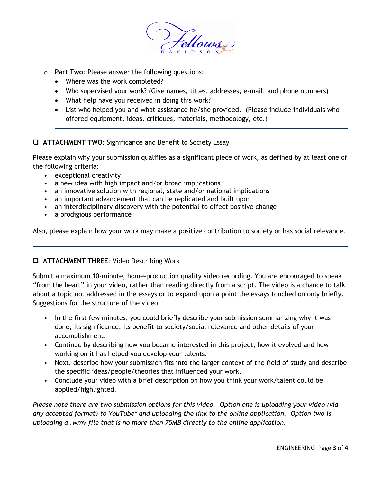

- o **Part Two**: Please answer the following questions:
	- Where was the work completed?
	- Who supervised your work? (Give names, titles, addresses, e-mail, and phone numbers)
	- What help have you received in doing this work?
	- List who helped you and what assistance he/she provided. (Please include individuals who offered equipment, ideas, critiques, materials, methodology, etc.)

## **ATTACHMENT TWO:** Significance and Benefit to Society Essay

Please explain why your submission qualifies as a significant piece of work, as defined by at least one of the following criteria:

- exceptional creativity
- a new idea with high impact and/or broad implications
- an innovative solution with regional, state and/or national implications
- an important advancement that can be replicated and built upon
- an interdisciplinary discovery with the potential to effect positive change
- a prodigious performance

Also, please explain how your work may make a positive contribution to society or has social relevance.

### **ATTACHMENT THREE**: Video Describing Work

Submit a maximum 10-minute, home-production quality video recording. You are encouraged to speak "from the heart" in your video, rather than reading directly from a script. The video is a chance to talk about a topic not addressed in the essays or to expand upon a point the essays touched on only briefly. Suggestions for the structure of the video:

- In the first few minutes, you could briefly describe your submission summarizing why it was done, its significance, its benefit to society/social relevance and other details of your accomplishment.
- Continue by describing how you became interested in this project, how it evolved and how working on it has helped you develop your talents.
- Next, describe how your submission fits into the larger context of the field of study and describe the specific ideas/people/theories that influenced your work.
- Conclude your video with a brief description on how you think your work/talent could be applied/highlighted.

*Please note there are two submission options for this video. Option one is uploading your video (via any accepted format) to YouTube\* and uploading the link to the online application. Option two is uploading a .wmv file that is no more than 75MB directly to the online application.*